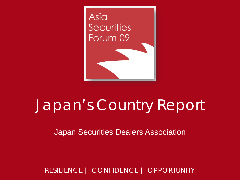

# Japan's Country Report

Japan Securities Dealers Association

RESILIENCE | CONFIDENCE | OPPORTUNITY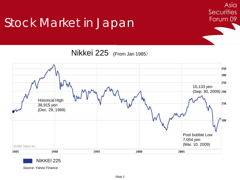### Stock Market in Japan

Nikkei 225 (From Jan 1985)

Asia

**Securities** 

Forum 09





Source: Yahoo Finance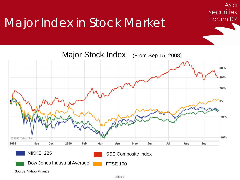### Major Index in Stock Market



Asia

**Securities** 

Forum 09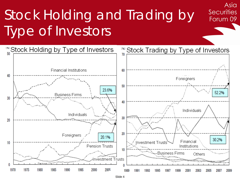# Stock Holding and Trading by Type of Investors



Asia

**Securities** 

Forum 09

Slide 4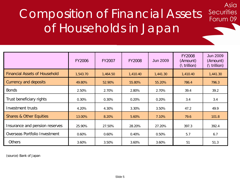## Composition of Financial Assets of Households in Japan

Asia

**Securities** 

Forum 09

|                                      | FY2006   | FY2007   | <b>FY2008</b> | <b>Jun 2009</b> | <b>FY2008</b><br>(Amount)<br>$(\iota$ trillion) | <b>Jun 2009</b><br>(Amount)<br>$(\int trillion)$ |
|--------------------------------------|----------|----------|---------------|-----------------|-------------------------------------------------|--------------------------------------------------|
| <b>Financial Assets of Household</b> | 1,543.70 | 1,464.50 | 1,410.40      | 1,441.30        | 1,410.40                                        | 1,441.30                                         |
| <b>Currency and deposits</b>         | 49.80%   | 52.90%   | 55.80%        | 55.20%          | 786.4                                           | 796.3                                            |
| <b>Bonds</b>                         | 2.50%    | 2.70%    | 2.80%         | 2.70%           | 39.4                                            | 39.2                                             |
| Trust beneficiary rights             | 0.30%    | 0.30%    | 0.20%         | 0.20%           | 3.4                                             | 3.4                                              |
| <b>Investment trusts</b>             | 4.20%    | 4.30%    | 3.30%         | 3.50%           | 47.2                                            | 49.9                                             |
| <b>Shares &amp; Other Equities</b>   | 13.00%   | 8.20%    | 5.60%         | 7.10%           | 79.6                                            | 101.8                                            |
| Insurance and pension reserves       | 25.90%   | 27.50%   | 28.20%        | 27.20%          | 397.3                                           | 392.4                                            |
| Overseas Portfolio Investment        | 0.60%    | $0.60\%$ | 0.40%         | 0.50%           | 5.7                                             | 6.7                                              |
| <b>Others</b>                        | 3.60%    | 3.50%    | 3.60%         | 3.60%           | 51                                              | 51.3                                             |

(source) Bank of Japan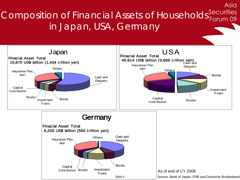Composition of Financial Assets of Households Securities in Japan, USA, Germany

Asia

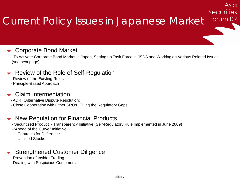#### Securities Forum 09 Current Policy Issues in Japanese Market

Asia

#### Corporate Bond Market

- To Activate Corporate Bond Market in Japan, Setting up Task Force in JSDA and Working on Various Related Issues (see next page)

#### Review of the Role of Self-Regulation

- Review of the Existing Rules
- Principle-Based Approach

#### Claim Intermediation

- ADR (Alternative Dispute Resolution)
- Close Cooperation with Other SROs, Filling the Regulatory Gaps

#### New Regulation for Financial Products

- Securitized Product Transparency Initiative (Self-Regulatory Rule Implemented in June 2009)
- -"Ahead of the Curve" Initiative
	- Contracts for Difference
	- Unlisted Stocks

#### Strengthened Customer Diligence

- Prevention of Insider Trading
- Dealing with Suspicious Customers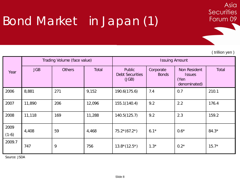### Bond Market in Japan (1)

( trillion yen )

**Securities** 

Forum 09

Asia

| Year            | Trading Volume (face value) |               |        | <b>Issuing Amount</b>                            |                           |                                                       |              |
|-----------------|-----------------------------|---------------|--------|--------------------------------------------------|---------------------------|-------------------------------------------------------|--------------|
|                 | <b>JGB</b>                  | <b>Others</b> | Total  | <b>Public</b><br><b>Debt Securities</b><br>(JGB) | Corporate<br><b>Bonds</b> | Non Resident<br><b>Issues</b><br>(Yen<br>denominated) | <b>Total</b> |
| 2006            | 8,881                       | 271           | 9,152  | 190.6(175.6)                                     | 7.4                       | 0.7                                                   | 210.1        |
| 2007            | 11,890                      | 206           | 12,096 | 155.1(140.4)                                     | 9.2                       | 2.2                                                   | 176.4        |
| 2008            | 11,118                      | 169           | 11,288 | 140.5(125.7)                                     | 9.2                       | 2.3                                                   | 159.2        |
| 2009<br>$(1-6)$ | 4,408                       | 59            | 4,468  | $75.2*(67.2*)$                                   | $6.1*$                    | $0.6*$                                                | $84.3*$      |
| 2009.7          | 747                         | 9             | 756    | $13.8*(12.5*)$                                   | $1.3*$                    | $0.2*$                                                | $15.7*$      |

Source: JSDA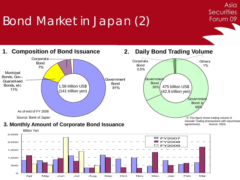## Bond Market in Japan (2)



Asia

**Securities** 

Forum 09

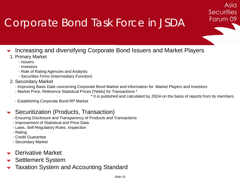### Corporate Bond Task Force in JSDA

- Increasing and diversifying Corporate Bond Issuers and Market Players
	- 1. Primary Market
		- Issuers
		- Investors
		- Role of Rating Agencies and Analysts
		- Securities Firms (Intermediary Function)
	- 2. Secondary Market
		- Improving Basic Date concerning Corporate Bond Market and Information for Market Players and Investors
		- Market Price, Reference Statistical Prices [Yields] for Transactions \*

\* It is published and calculated by JSDA on the basis of reports from its members

Asia

**Securities** 

Forum 09

- Establishing Corporate Bond RP Market

#### Securitization (Products, Transaction)

- Ensuring Disclosure and Transparency of Products and Transactions
- Improvement of Statistical and Price Data
- Laws, Self-Regulatory Rules, Inspection
- Rating
- Credit Guarantee
- Secondary Market
- Derivative Market
- Settlement System
- Taxation System and Accounting Standard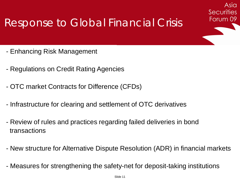### Response to Global Financial Crisis

- Enhancing Risk Management
- Regulations on Credit Rating Agencies
- OTC market Contracts for Difference (CFDs)
- Infrastructure for clearing and settlement of OTC derivatives
- Review of rules and practices regarding failed deliveries in bond transactions
- New structure for Alternative Dispute Resolution (ADR) in financial markets

Asia

**Securities** 

Forum 09

- Measures for strengthening the safety-net for deposit-taking institutions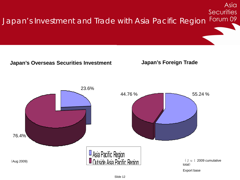Asia **Securities** Forum 09 Japan's Investment and Trade with Asia Pacific Region **Japan's Overseas Securities Investment Japan's Foreign Trade**  23.6% 44.76 % 55.24 % 76.4%

> Asia Facillo Region <u>Outside Asia Pacific Region</u>

(Aug 2009)

(Jul 2009 cumulative total)

Export base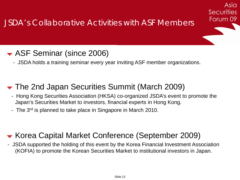### ASF Seminar (since 2006)

- JSDA holds a training seminar every year inviting ASF member organizations.

### The 2nd Japan Securities Summit (March 2009)

- Hong Kong Securities Association (HKSA) co-organized JSDA's event to promote the Japan's Securities Market to investors, financial experts in Hong Kong.

Asia

**Securities** 

Forum 09

- The 3<sup>rd</sup> is planned to take place in Singapore in March 2010.

### Korea Capital Market Conference (September 2009)

- JSDA supported the holding of this event by the Korea Financial Investment Association (KOFIA) to promote the Korean Securities Market to institutional investors in Japan.